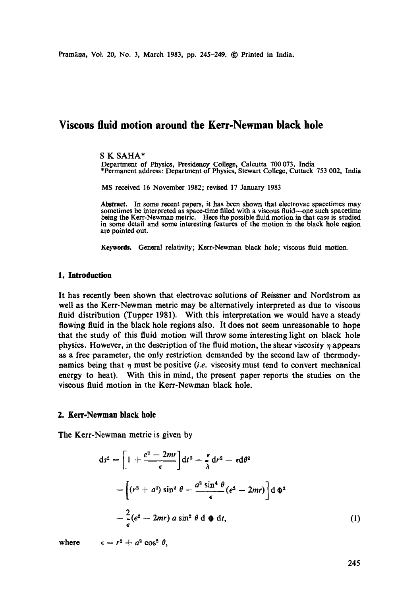# **Viscous fluid motion around the Kerr-Newman black hole**

#### S K SAHA\*

Department of Physics, Presidency College, Calcutta 700 073, India \*Permanent address: Department of Physics, Stewart College, Cuttack 753 002, India

MS received 16 November 1982; revised 17 January 1983

Abstract. In some recent papers, it has been shown that electrovac spacetimes may sometimes be interpreted as space-time filled with a viscous fluid--one such spacetime being the Kerr-Newman metric. Here the possible fluid motion in that case is studied in some detail and some interesting features of the motion in the black hole region are pointed out.

**Keywords.** General relativity; Kerr-Newman black hole; viscous fluid motion.

## **1. Introduction**

It has recently been shown that eleetrovae solutions of Reissner and Nordstrom as well as the Kerr-Newman metric may be alternatively interpreted as due to viscous fluid distribution (Tupper 1981). With this interpretation we would have a steady flowing fluid in the black hole regions also. It does not seem unreasonable to hope that the study of this fluid motion will throw some interesting light on black hole physics. However, in the description of the fluid motion, the shear viscosity  $\eta$  appears as a free parameter, the only restriction demanded by the second law of thermodynamics being that  $\eta$  must be positive *(i.e.* viscosity must tend to convert mechanical energy to heat). With this in mind, the present paper reports the studies on the viscous fluid motion in the Kerr-Newman black hole.

#### **2. Kerr-Newman black hole**

The Kerr-Newman metric is given by

$$
ds^{2} = \left[1 + \frac{e^{2} - 2mr}{\epsilon}\right]dt^{2} - \frac{\epsilon}{\lambda}dr^{2} - \epsilon d\theta^{2}
$$

$$
-\left[(r^{2} + a^{2})\sin^{2}\theta - \frac{a^{2}\sin^{4}\theta}{\epsilon}(e^{2} - 2mr)\right]d\Phi^{2}
$$

$$
-\frac{2}{\epsilon}(e^{2} - 2mr) a\sin^{2}\theta d\Phi dt,
$$
(1)

where  $\epsilon = r^2 + a^2 \cos^2 \theta$ ,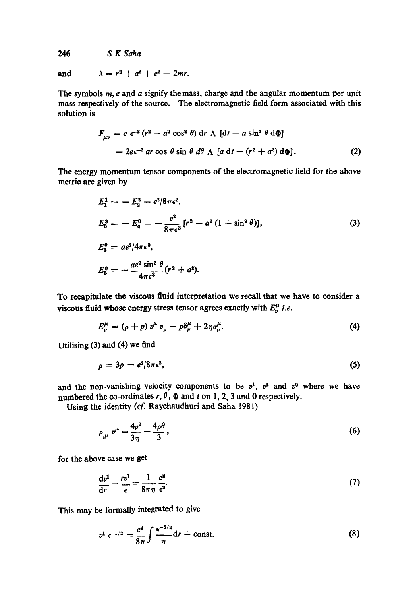*246 S K Saha* 

and  $\lambda = r^2 + a^2 + e^2 - 2mr$ .

The symbols  $m$ ,  $e$  and  $a$  signify the mass, charge and the angular momentum per unit mass respectively of the source. The electromagnetic field form associated with this solution is

$$
F_{\mu\nu} = e \epsilon^{-2} (r^2 - a^2 \cos^2 \theta) \, dr \wedge [dt - a \sin^2 \theta \, d\phi]
$$
  
- 2e $\epsilon^{-2}$  ar cos  $\theta$  sin  $\theta$  d $\theta$   $\wedge$  [a dt - (r<sup>2</sup> + a<sup>2</sup>) d $\phi$ ]. (2)

The energy momentum tensor components of the electromagnetic field for the above metric are given by

$$
E_1^1 = -E_2^2 = e^2/8\pi\epsilon^2,
$$
  
\n
$$
E_3^3 = -E_0^0 = -\frac{e^2}{8\pi\epsilon^3} [r^2 + a^2 (1 + \sin^2 \theta)],
$$
  
\n
$$
E_3^0 = ae^2/4\pi\epsilon^3,
$$
  
\n
$$
E_3^0 = -\frac{ae^2 \sin^2 \theta}{4\pi\epsilon^3} (r^2 + a^2).
$$
  
\n(3)

To recapitulate the viscous fluid interpretation we recall that we have to consider a viscous fluid whose energy stress tensor agrees exactly with  $E^{\mu}_{\nu}$  *i.e.* 

$$
E^{\mu}_{\nu} = (\rho + p) v^{\mu} v_{\nu} - p \delta^{\mu}_{\nu} + 2 \eta \sigma^{\mu}_{\nu}.
$$
 (4)

Utilising (3) and (4) we find

$$
\rho = 3p = e^2/8\pi\epsilon^2,\tag{5}
$$

and the non-vanishing velocity components to be  $v^1$ ,  $v^3$  and  $v^0$  where we have numbered the co-ordinates  $r, \theta$ ,  $\phi$  and t on 1, 2, 3 and 0 respectively.

Using the identity (cf. Raychaudhuri and Saha 1981)

$$
\rho_{,\mu} v^{\mu} = \frac{4\rho^2}{3\eta} - \frac{4\rho\theta}{3},\tag{6}
$$

for the above case we get

$$
\frac{\mathrm{d}v^1}{\mathrm{d}r} - \frac{rv^1}{\epsilon} = \frac{1}{8\pi\eta} \frac{e^2}{\epsilon^2}.\tag{7}
$$

This may be formally integrated to give

$$
v^1 \epsilon^{-1/2} = \frac{e^2}{8\pi} \int \frac{\epsilon^{-5/2}}{\eta} \mathrm{d}r + \text{const.} \tag{8}
$$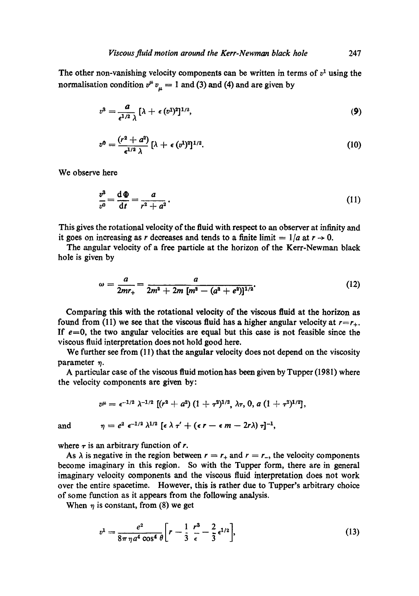The other non-vanishing velocity components can be written in terms of  $v<sup>1</sup>$  using the normalisation condition  $v^{\mu} v_{\mu} = 1$  and (3) and (4) and are given by

$$
v^3 = \frac{a}{\epsilon^{1/2} \lambda} \left[ \lambda + \epsilon \, (v^1)^2 \right]^{1/2},\tag{9}
$$

$$
v^0=\frac{(r^2+a^2)}{\epsilon^{1/2}\lambda}\left[\lambda+\epsilon\,(v^1)^2\right]^{1/2}.\tag{10}
$$

We observe here

$$
\frac{v^3}{v^0} = \frac{\mathrm{d}\,\Phi}{\mathrm{d}t} = \frac{a}{r^2 + a^2}.\tag{11}
$$

This gives the rotational velocity of the fluid with respect to an observer at infinity and it goes on increasing as r decreases and tends to a finite limit  $= 1/a$  at  $r \rightarrow 0$ .

The angular velocity of a free particle at the horizon of the Kerr-Newman black hole is given by

$$
\omega = \frac{a}{2mr_+} = \frac{a}{2m^2 + 2m [m^2 - (a^2 + e^2)]^{1/2}}.
$$
 (12)

Comparing this with the rotational velocity of the viscous fluid at the horizon as found from (11) we see that the viscous fluid has a higher angular velocity at  $r=r_{+}$ . If  $e=0$ , the two angular velocities are equal but this case is not feasible since the viscous fluid interpretation does not hold good here.

We further see from (11) that the angular velocity does not depend on the viscosity parameter  $\eta$ .

A particular ease of the viscous fluid motion has been given by Tupper (1981) where the velocity components are given by:

$$
v^{\mu} = \epsilon^{-1/2} \lambda^{-1/2} \left[ (r^2 + a^2) (1 + \tau^2)^{1/2}, \lambda \tau, 0, a (1 + \tau^2)^{1/2} \right],
$$

and  $\eta = e^2 \epsilon^{-1/2} \lambda^{1/2} [\epsilon \lambda \tau' + (\epsilon \tau - \epsilon m - 2r\lambda) \tau]^{-1}$ ,

where  $\tau$  is an arbitrary function of r.

As  $\lambda$  is negative in the region between  $r = r_+$  and  $r = r_-$ , the velocity components become imaginary in this region. So with the Tupper form, there are in general imaginary velocity components and the viscous fluid interpretation does not work over the entire spaeetime. However, this is rather due to Tupper's arbitrary choice of some function as it appears from the following analysis.

When  $\eta$  is constant, from (8) we get

$$
v^{1} = \frac{e^{2}}{8\pi\,\eta\,a^{4}\,\cos^{4}\theta} \bigg[r - \frac{1}{3}\,\frac{r^{3}}{\epsilon} - \frac{2}{3}\,\epsilon^{1/2}\bigg],\tag{13}
$$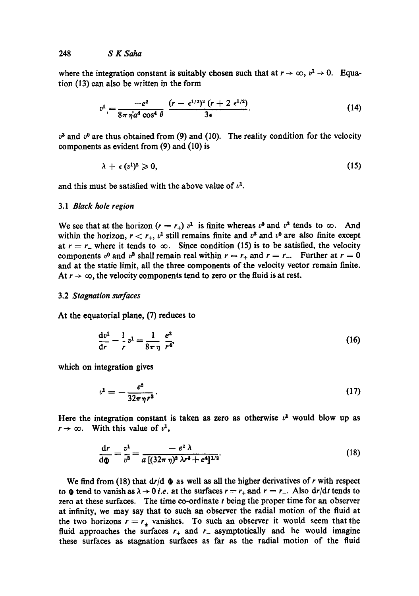where the integration constant is suitably chosen such that at  $r \to \infty$ ,  $v^2 \to 0$ . Equation (13) can also be written in the form

$$
v^{1} = \frac{-e^{2}}{8\pi\eta' a^{4} \cos^{4}\theta} \frac{(r - \epsilon^{1/2})^{2} (r + 2 \epsilon^{1/2})}{3\epsilon}.
$$
 (14)

 $v^3$  and  $v^0$  are thus obtained from (9) and (10). The reality condition for the velocity components as evident from (9) and (10) is

$$
\lambda + \epsilon \, (v^1)^2 \geqslant 0, \tag{15}
$$

and this must be satisfied with the above value of  $v<sup>1</sup>$ .

#### *3.1 Black hole region*

We see that at the horizon  $(r = r_+)$  v<sup>1</sup> is finite whereas v<sup>0</sup> and v<sup>3</sup> tends to  $\infty$ . And within the horizon,  $r < r_+$ ,  $v^1$  still remains finite and  $v^3$  and  $v^0$  are also finite except at  $r = r_-$  where it tends to  $\infty$ . Since condition (15) is to be satisfied, the velocity components  $v^0$  and  $v^3$  shall remain real within  $r = r_+$  and  $r = r_-$ . Further at  $r = 0$ and at the static limit, all the three components of the velocity vector remain finite. At  $r \to \infty$ , the velocity components tend to zero or the fluid is at rest.

#### 3.2 *Stagnation surfaces*

At the equatorial plane, (7) reduces to

$$
\frac{dv^1}{dr} - \frac{1}{r}v^1 = \frac{1}{8\pi\eta}\frac{e^2}{r^4},
$$
\n(16)

which on integration gives

$$
v^1 = -\frac{e^2}{32\pi\,\eta\,r^3}.\tag{17}
$$

Here the integration constant is taken as zero as otherwise  $v<sup>1</sup>$  would blow up as  $r \rightarrow \infty$ . With this value of  $v^1$ ,

$$
\frac{dr}{d\Phi} = \frac{v^1}{v^3} = \frac{-e^2 \lambda}{a \left[ (32\pi \eta)^2 \lambda r^4 + e^4 \right]^{1/2}}.
$$
\n(18)

We find from (18) that  $dr/d \phi$  as well as all the higher derivatives of r with respect to  $\Phi$  tend to vanish as  $\lambda \rightarrow 0$  *i.e.* at the surfaces  $r = r_+$  and  $r = r_-$ . Also  $dr/dt$  tends to zero at these surfaces. The time co-ordinate  $t$  being the proper time for an observer at infinity, we may say that to such an observer the radial motion of the fluid at the two horizons  $r = r_+$  vanishes. To such an observer it would seem that the fluid approaches the surfaces  $r_+$  and  $r_-$  asymptotically and he would imagine these surfaces as stagnation surfaces as far as the radial motion of the fluid